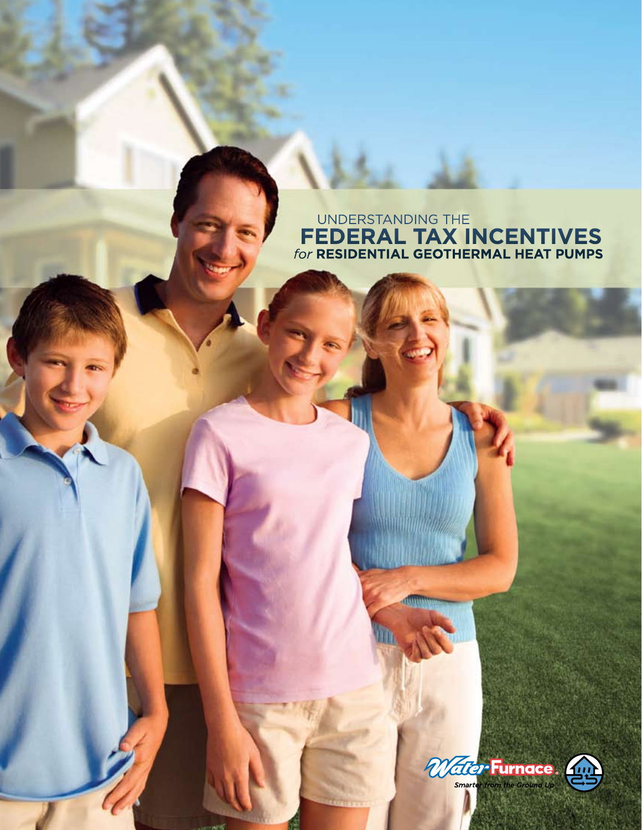# UNDERSTANDING THE  **FEDERAL TAX INCENTIVES**  *for* **RESIDENTIAL GEOTHERMAL HEAT PUMPS**